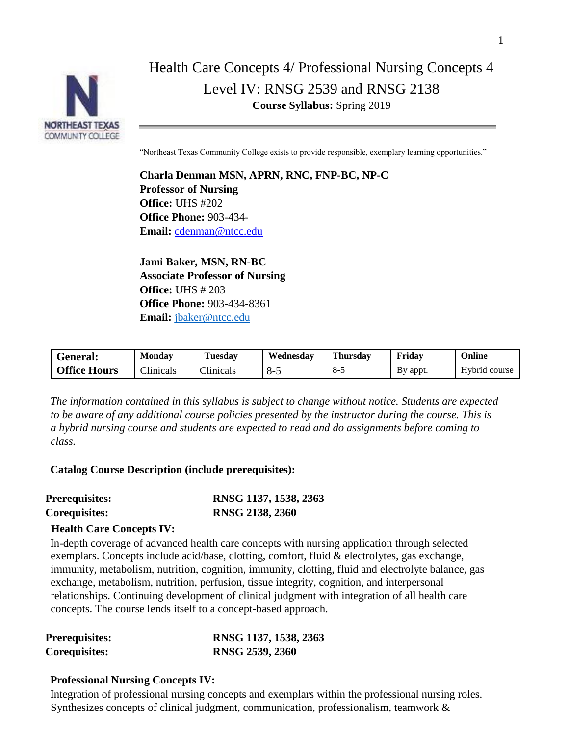

# Health Care Concepts 4/ Professional Nursing Concepts 4 Level IV: RNSG 2539 and RNSG 2138 **Course Syllabus:** Spring 2019

"Northeast Texas Community College exists to provide responsible, exemplary learning opportunities."

**Charla Denman MSN, APRN, RNC, FNP-BC, NP-C Professor of Nursing Office:** UHS #202 **Office Phone:** 903-434- **Email:** [cdenman@ntcc.edu](mailto:cdenman@ntcc.edu)

**Jami Baker, MSN, RN-BC Associate Professor of Nursing Office:** UHS # 203 **Office Phone:** 903-434-8361 **Email:** [jbaker@ntcc.edu](mailto:jbaker@ntcc.edu)

| General:            | Mondav    | <b>Tuesday</b> | Wednesdav | <b>Thursday</b> | Friday   | Online        |
|---------------------|-----------|----------------|-----------|-----------------|----------|---------------|
| <b>Office Hours</b> | Clinicals | Clinicals      | გ-ა       | $8-5$           | By appt. | Hybrid course |

*The information contained in this syllabus is subject to change without notice. Students are expected to be aware of any additional course policies presented by the instructor during the course. This is a hybrid nursing course and students are expected to read and do assignments before coming to class.*

# **Catalog Course Description (include prerequisites):**

| <b>Prerequisites:</b> | RNSG 1137, 1538, 2363 |
|-----------------------|-----------------------|
| <b>Corequisites:</b>  | RNSG 2138, 2360       |

### **Health Care Concepts IV:**

In-depth coverage of advanced health care concepts with nursing application through selected exemplars. Concepts include acid/base, clotting, comfort, fluid & electrolytes, gas exchange, immunity, metabolism, nutrition, cognition, immunity, clotting, fluid and electrolyte balance, gas exchange, metabolism, nutrition, perfusion, tissue integrity, cognition, and interpersonal relationships. Continuing development of clinical judgment with integration of all health care concepts. The course lends itself to a concept-based approach.

| <b>Prerequisites:</b> | RNSG 1137, 1538, 2363 |
|-----------------------|-----------------------|
| Corequisites:         | RNSG 2539, 2360       |

# **Professional Nursing Concepts IV:**

Integration of professional nursing concepts and exemplars within the professional nursing roles. Synthesizes concepts of clinical judgment, communication, professionalism, teamwork &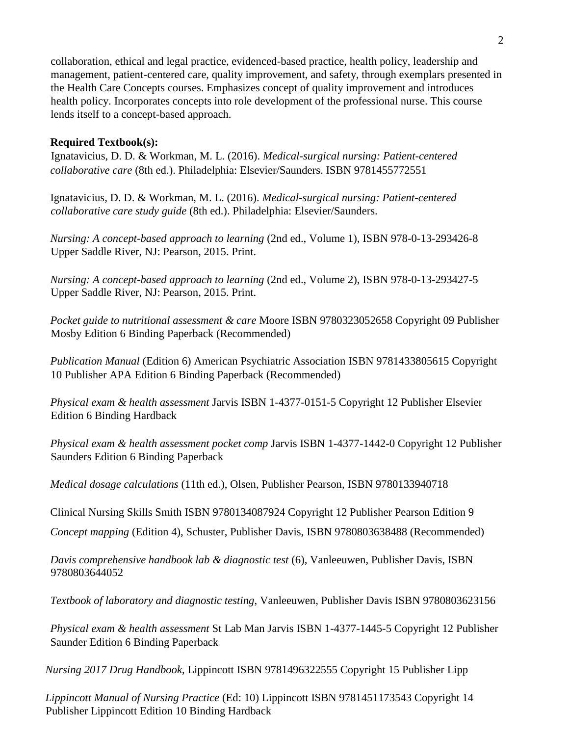collaboration, ethical and legal practice, evidenced-based practice, health policy, leadership and management, patient-centered care, quality improvement, and safety, through exemplars presented in the Health Care Concepts courses. Emphasizes concept of quality improvement and introduces health policy. Incorporates concepts into role development of the professional nurse. This course lends itself to a concept-based approach.

# **Required Textbook(s):**

Ignatavicius, D. D. & Workman, M. L. (2016). *Medical-surgical nursing: Patient-centered collaborative care* (8th ed.). Philadelphia: Elsevier/Saunders. ISBN 9781455772551

Ignatavicius, D. D. & Workman, M. L. (2016). *Medical-surgical nursing: Patient-centered collaborative care study guide* (8th ed.). Philadelphia: Elsevier/Saunders.

*Nursing: A concept-based approach to learning* (2nd ed., Volume 1), ISBN 978-0-13-293426-8 Upper Saddle River, NJ: Pearson, 2015. Print.

*Nursing: A concept-based approach to learning* (2nd ed., Volume 2), ISBN 978-0-13-293427-5 Upper Saddle River, NJ: Pearson, 2015. Print.

*Pocket guide to nutritional assessment & care* Moore ISBN 9780323052658 Copyright 09 Publisher Mosby Edition 6 Binding Paperback (Recommended)

*Publication Manual* (Edition 6) American Psychiatric Association ISBN 9781433805615 Copyright 10 Publisher APA Edition 6 Binding Paperback (Recommended)

*Physical exam & health assessment* Jarvis ISBN 1-4377-0151-5 Copyright 12 Publisher Elsevier Edition 6 Binding Hardback

*Physical exam & health assessment pocket comp* Jarvis ISBN 1-4377-1442-0 Copyright 12 Publisher Saunders Edition 6 Binding Paperback

*Medical dosage calculations* (11th ed.), Olsen, Publisher Pearson, ISBN 9780133940718

Clinical Nursing Skills Smith ISBN 9780134087924 Copyright 12 Publisher Pearson Edition 9

*Concept mapping* (Edition 4), Schuster, Publisher Davis, ISBN 9780803638488 (Recommended)

*Davis comprehensive handbook lab & diagnostic test* (6), Vanleeuwen, Publisher Davis, ISBN 9780803644052

*Textbook of laboratory and diagnostic testing*, Vanleeuwen, Publisher Davis ISBN 9780803623156

*Physical exam & health assessment* St Lab Man Jarvis ISBN 1-4377-1445-5 Copyright 12 Publisher Saunder Edition 6 Binding Paperback

*Nursing 2017 Drug Handbook*, Lippincott ISBN 9781496322555 Copyright 15 Publisher Lipp

*Lippincott Manual of Nursing Practice* (Ed: 10) Lippincott ISBN 9781451173543 Copyright 14 Publisher Lippincott Edition 10 Binding Hardback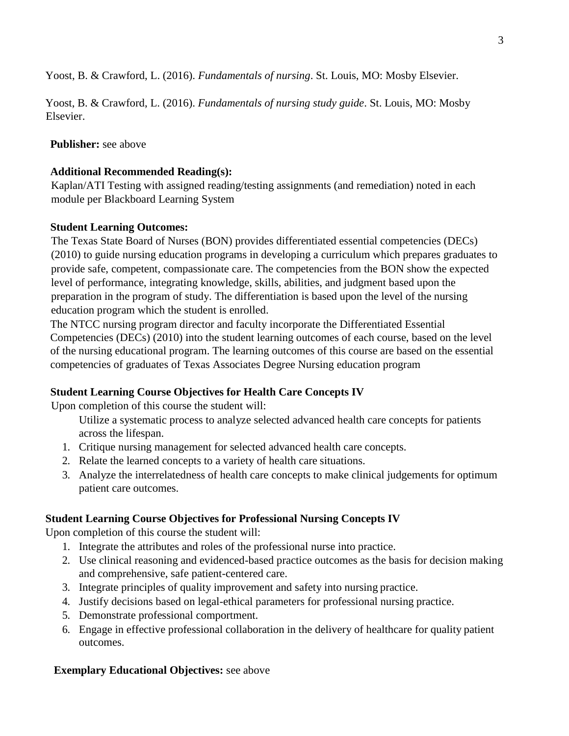Yoost, B. & Crawford, L. (2016). *Fundamentals of nursing*. St. Louis, MO: Mosby Elsevier.

Yoost, B. & Crawford, L. (2016). *Fundamentals of nursing study guide*. St. Louis, MO: Mosby Elsevier.

**Publisher:** see above

# **Additional Recommended Reading(s):**

Kaplan/ATI Testing with assigned reading/testing assignments (and remediation) noted in each module per Blackboard Learning System

# **Student Learning Outcomes:**

The Texas State Board of Nurses (BON) provides differentiated essential competencies (DECs) (2010) to guide nursing education programs in developing a curriculum which prepares graduates to provide safe, competent, compassionate care. The competencies from the BON show the expected level of performance, integrating knowledge, skills, abilities, and judgment based upon the preparation in the program of study. The differentiation is based upon the level of the nursing education program which the student is enrolled.

The NTCC nursing program director and faculty incorporate the Differentiated Essential Competencies (DECs) (2010) into the student learning outcomes of each course, based on the level of the nursing educational program. The learning outcomes of this course are based on the essential competencies of graduates of Texas Associates Degree Nursing education program

# **Student Learning Course Objectives for Health Care Concepts IV**

Upon completion of this course the student will:

Utilize a systematic process to analyze selected advanced health care concepts for patients across the lifespan.

- 1. Critique nursing management for selected advanced health care concepts.
- 2. Relate the learned concepts to a variety of health care situations.
- 3. Analyze the interrelatedness of health care concepts to make clinical judgements for optimum patient care outcomes.

# **Student Learning Course Objectives for Professional Nursing Concepts IV**

Upon completion of this course the student will:

- 1. Integrate the attributes and roles of the professional nurse into practice.
- 2. Use clinical reasoning and evidenced-based practice outcomes as the basis for decision making and comprehensive, safe patient-centered care.
- 3. Integrate principles of quality improvement and safety into nursing practice.
- 4. Justify decisions based on legal-ethical parameters for professional nursing practice.
- 5. Demonstrate professional comportment.
- 6. Engage in effective professional collaboration in the delivery of healthcare for quality patient outcomes.

# **Exemplary Educational Objectives:** see above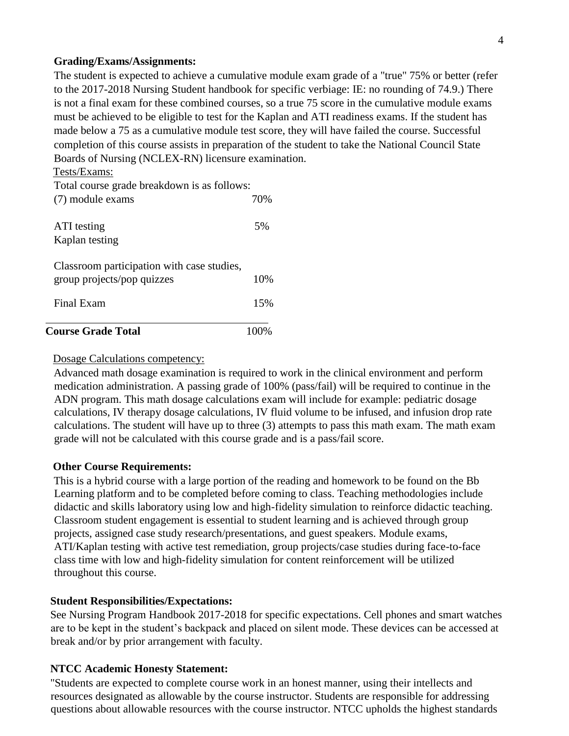#### **Grading/Exams/Assignments:**

The student is expected to achieve a cumulative module exam grade of a "true" 75% or better (refer to the 2017-2018 Nursing Student handbook for specific verbiage: IE: no rounding of 74.9.) There is not a final exam for these combined courses, so a true 75 score in the cumulative module exams must be achieved to be eligible to test for the Kaplan and ATI readiness exams. If the student has made below a 75 as a cumulative module test score, they will have failed the course. Successful completion of this course assists in preparation of the student to take the National Council State Boards of Nursing (NCLEX-RN) licensure examination.

#### Tests/Exams:

| <b>Course Grade Total</b>                                                |     |
|--------------------------------------------------------------------------|-----|
| Final Exam                                                               | 15% |
| Classroom participation with case studies,<br>group projects/pop quizzes | 10% |
| ATI testing<br>Kaplan testing                                            | 5%  |
| Total course grade breakdown is as follows:<br>(7) module exams          | 70% |

### Dosage Calculations competency:

Advanced math dosage examination is required to work in the clinical environment and perform medication administration. A passing grade of 100% (pass/fail) will be required to continue in the ADN program. This math dosage calculations exam will include for example: pediatric dosage calculations, IV therapy dosage calculations, IV fluid volume to be infused, and infusion drop rate calculations. The student will have up to three (3) attempts to pass this math exam. The math exam grade will not be calculated with this course grade and is a pass/fail score.

# **Other Course Requirements:**

This is a hybrid course with a large portion of the reading and homework to be found on the Bb Learning platform and to be completed before coming to class. Teaching methodologies include didactic and skills laboratory using low and high-fidelity simulation to reinforce didactic teaching. Classroom student engagement is essential to student learning and is achieved through group projects, assigned case study research/presentations, and guest speakers. Module exams, ATI/Kaplan testing with active test remediation, group projects/case studies during face-to-face class time with low and high-fidelity simulation for content reinforcement will be utilized throughout this course.

# **Student Responsibilities/Expectations:**

See Nursing Program Handbook 2017-2018 for specific expectations. Cell phones and smart watches are to be kept in the student's backpack and placed on silent mode. These devices can be accessed at break and/or by prior arrangement with faculty.

# **NTCC Academic Honesty Statement:**

"Students are expected to complete course work in an honest manner, using their intellects and resources designated as allowable by the course instructor. Students are responsible for addressing questions about allowable resources with the course instructor. NTCC upholds the highest standards